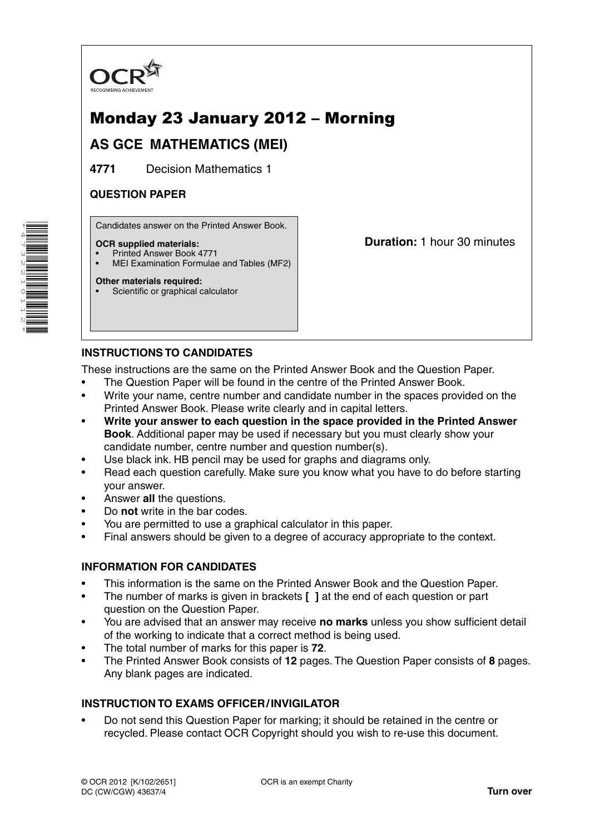

# Monday 23 January 2012 – Morning

## **AS GCE MATHEMATICS (MEI)**

**4771** Decision Mathematics 1

## **QUESTION PAPER**

Candidates answer on the Printed Answer Book.

#### **OCR supplied materials:**

- Printed Answer Book 4771
- MEI Examination Formulae and Tables (MF2)

## **Other materials required:**

Scientific or graphical calculator

**Duration:** 1 hour 30 minutes

## **INSTRUCTIONS TO CANDIDATES**

These instructions are the same on the Printed Answer Book and the Question Paper.

- The Question Paper will be found in the centre of the Printed Answer Book.
- Write your name, centre number and candidate number in the spaces provided on the Printed Answer Book. Please write clearly and in capital letters.
- **Write your answer to each question in the space provided in the Printed Answer Book**. Additional paper may be used if necessary but you must clearly show your candidate number, centre number and question number(s).
- Use black ink. HB pencil may be used for graphs and diagrams only.
- Read each question carefully. Make sure you know what you have to do before starting your answer.
- Answer **all** the questions.
- Do **not** write in the bar codes.
- You are permitted to use a graphical calculator in this paper.
- Final answers should be given to a degree of accuracy appropriate to the context.

## **INFORMATION FOR CANDIDATES**

- This information is the same on the Printed Answer Book and the Question Paper.
- The number of marks is given in brackets **[ ]** at the end of each question or part question on the Question Paper.
- You are advised that an answer may receive **no marks** unless you show sufficient detail of the working to indicate that a correct method is being used.
- The total number of marks for this paper is **72**.
- The Printed Answer Book consists of **12** pages. The Question Paper consists of **8** pages. Any blank pages are indicated.

## **INSTRUCTION TO EXAMS OFFICER / INVIGILATOR**

• Do not send this Question Paper for marking; it should be retained in the centre or recycled. Please contact OCR Copyright should you wish to re-use this document.

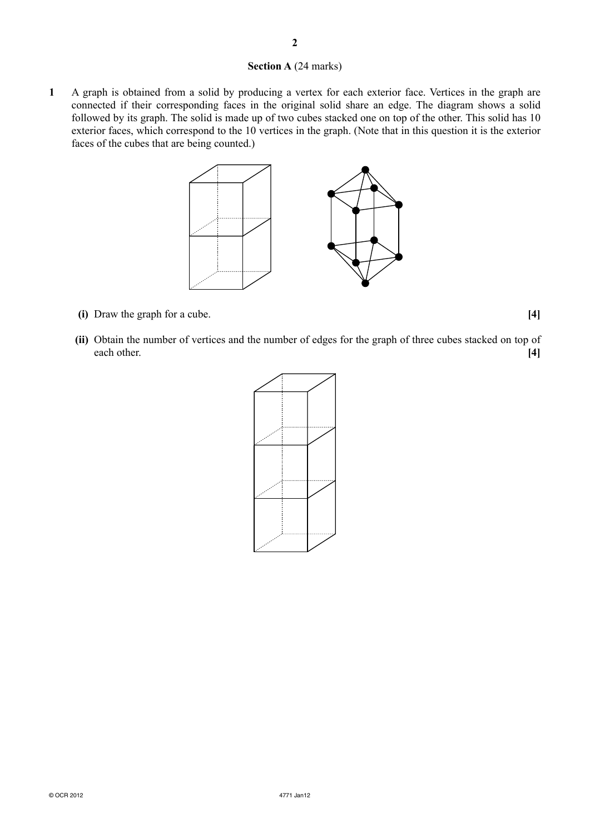#### **Section A** (24 marks)

**1** A graph is obtained from a solid by producing a vertex for each exterior face. Vertices in the graph are connected if their corresponding faces in the original solid share an edge. The diagram shows a solid followed by its graph. The solid is made up of two cubes stacked one on top of the other. This solid has 10 exterior faces, which correspond to the 10 vertices in the graph. (Note that in this question it is the exterior faces of the cubes that are being counted.)



 **(i)** Draw the graph for a cube. **[4]**

 **(ii)** Obtain the number of vertices and the number of edges for the graph of three cubes stacked on top of each other. **[4]**

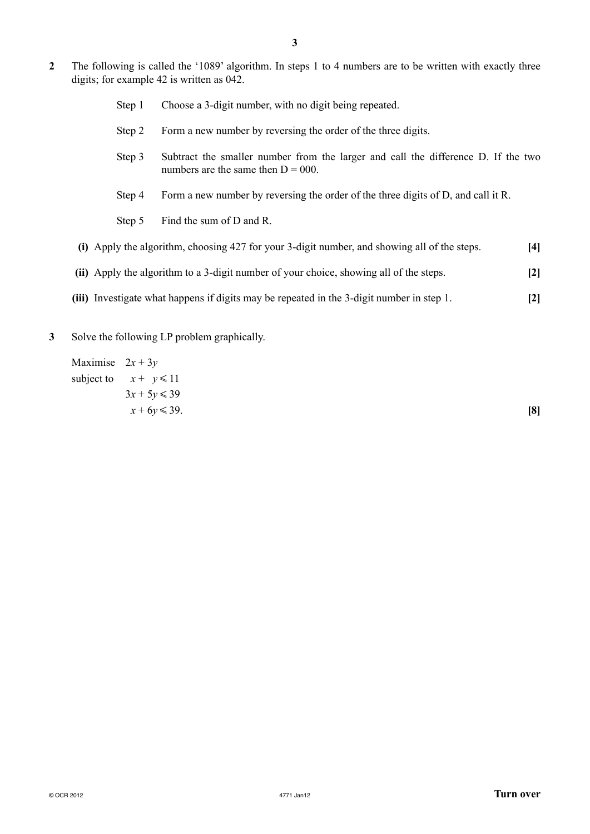**2** The following is called the '1089' algorithm. In steps 1 to 4 numbers are to be written with exactly three digits; for example 42 is written as 042.

| Choose a 3-digit number, with no digit being repeated.<br>Step 1 |                                                                                                                            |       |
|------------------------------------------------------------------|----------------------------------------------------------------------------------------------------------------------------|-------|
| Step 2                                                           | Form a new number by reversing the order of the three digits.                                                              |       |
| Step 3                                                           | Subtract the smaller number from the larger and call the difference D. If the two<br>numbers are the same then $D = 000$ . |       |
| Step 4                                                           | Form a new number by reversing the order of the three digits of D, and call it R.                                          |       |
| Step 5                                                           | Find the sum of D and R.                                                                                                   |       |
|                                                                  | (i) Apply the algorithm, choosing 427 for your 3-digit number, and showing all of the steps.                               | $[4]$ |
|                                                                  | (ii) Apply the algorithm to a 3-digit number of your choice, showing all of the steps.                                     | $[2]$ |

- **(iii)** Investigate what happens if digits may be repeated in the 3-digit number in step 1. **[2]**
- **3** Solve the following LP problem graphically.

Maximise  $2x + 3y$ subject to  $x + y \le 11$  $3x + 5y \le 39$  $x + 6y \le 39.$  [8]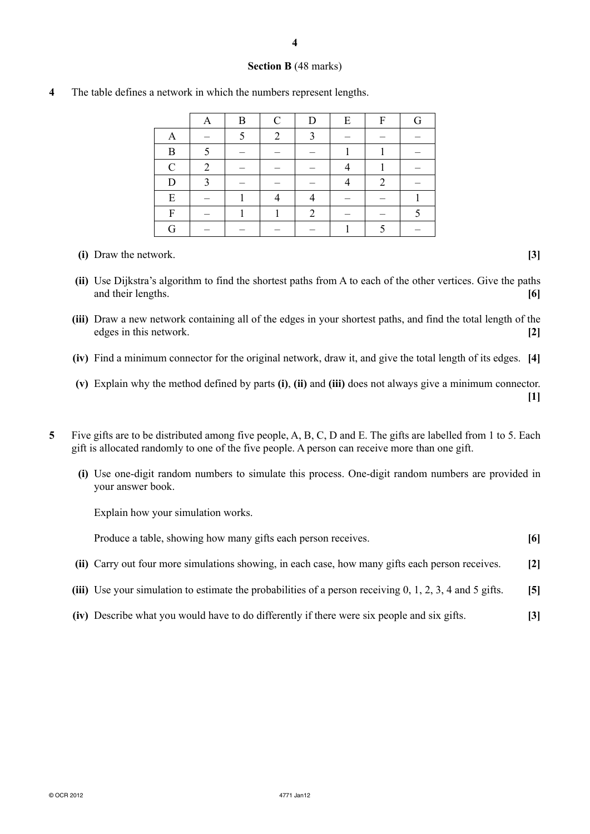#### **Section B** (48 marks)

|               | А  | B | $\mathcal{C}$  | D            | E | F              | G |
|---------------|----|---|----------------|--------------|---|----------------|---|
| A             |    |   | $\mathfrak{D}$ | $\mathbf{3}$ |   |                |   |
| B             |    |   |                |              |   |                |   |
| $\mathcal{C}$ | 2  |   |                |              |   |                |   |
| D             | -2 |   |                |              |   | $\overline{2}$ |   |
| E             |    |   |                |              |   |                |   |
| F             |    |   |                | 2            |   |                |   |
| G             |    |   |                |              |   |                |   |

**4** The table defines a network in which the numbers represent lengths.

- **(i)** Draw the network. **[3]**
- **(ii)** Use Dijkstra's algorithm to find the shortest paths from A to each of the other vertices. Give the paths and their lengths. **[6]**
- **(iii)** Draw a new network containing all of the edges in your shortest paths, and find the total length of the edges in this network. **[2]**
- **(iv)** Find a minimum connector for the original network, draw it, and give the total length of its edges. **[4]**
- **(v)** Explain why the method defined by parts **(i)**, **(ii)** and **(iii)** does not always give a minimum connector. **[1]**
- **5** Five gifts are to be distributed among five people, A, B, C, D and E. The gifts are labelled from 1 to 5. Each gift is allocated randomly to one of the five people. A person can receive more than one gift.
	- **(i)** Use one-digit random numbers to simulate this process. One-digit random numbers are provided in your answer book.

Explain how your simulation works.

| Produce a table, showing how many gifts each person receives.                                              | 16 I              |
|------------------------------------------------------------------------------------------------------------|-------------------|
| (ii) Carry out four more simulations showing, in each case, how many gifts each person receives.           | $\lceil 2 \rceil$ |
| (iii) Use your simulation to estimate the probabilities of a person receiving $0, 1, 2, 3, 4$ and 5 gifts. | $\vert 5 \vert$   |

 **(iv)** Describe what you would have to do differently if there were six people and six gifts. **[3]**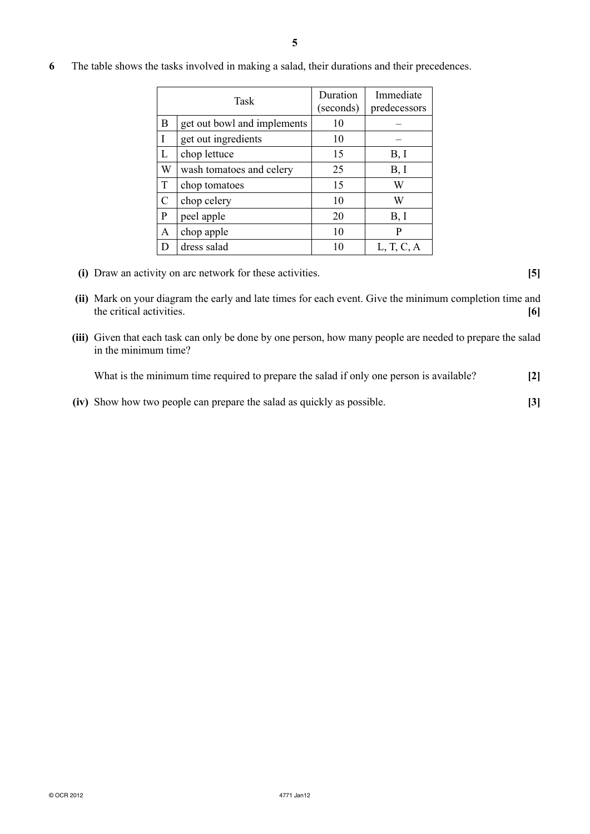|               | Task                        | Duration<br>(seconds) | Immediate<br>predecessors |
|---------------|-----------------------------|-----------------------|---------------------------|
| B             | get out bowl and implements | 10                    |                           |
| I             | get out ingredients         | 10                    |                           |
| L             | chop lettuce                | 15                    | B, I                      |
| W             | wash tomatoes and celery    | 25                    | B, I                      |
| T             | chop tomatoes               | 15                    | W                         |
| $\mathcal{C}$ | chop celery                 | 10                    | W                         |
| P             | peel apple                  | 20                    | B, I                      |
| A             | chop apple                  | 10                    | P                         |
|               | dress salad                 | 10                    | L, T, C, A                |

**6** The table shows the tasks involved in making a salad, their durations and their precedences.

 **(i)** Draw an activity on arc network for these activities. **[5]**

- **(ii)** Mark on your diagram the early and late times for each event. Give the minimum completion time and the critical activities. **[6]**
- **(iii)** Given that each task can only be done by one person, how many people are needed to prepare the salad in the minimum time?

| What is the minimum time required to prepare the salad if only one person is available? | $[2]$ |
|-----------------------------------------------------------------------------------------|-------|
|                                                                                         |       |

 **(iv)** Show how two people can prepare the salad as quickly as possible. **[3]**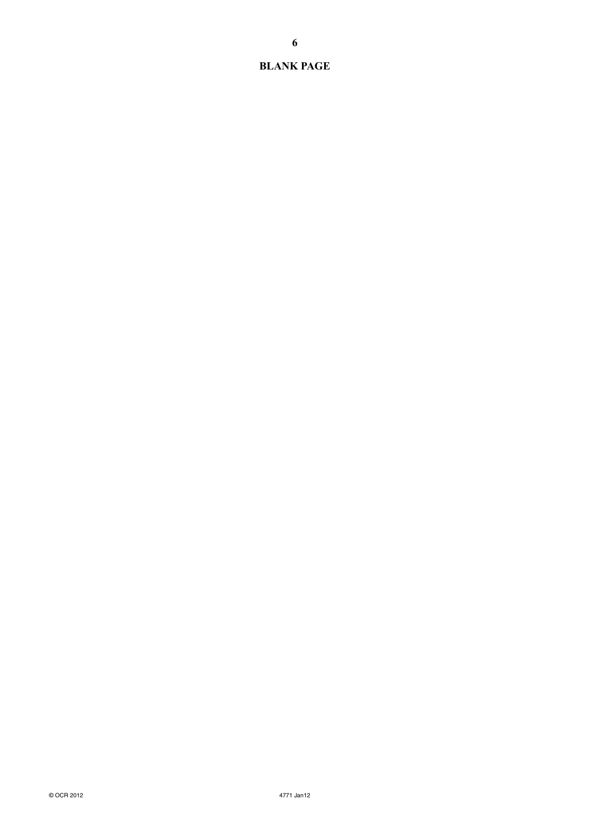#### **BLANK PAGE**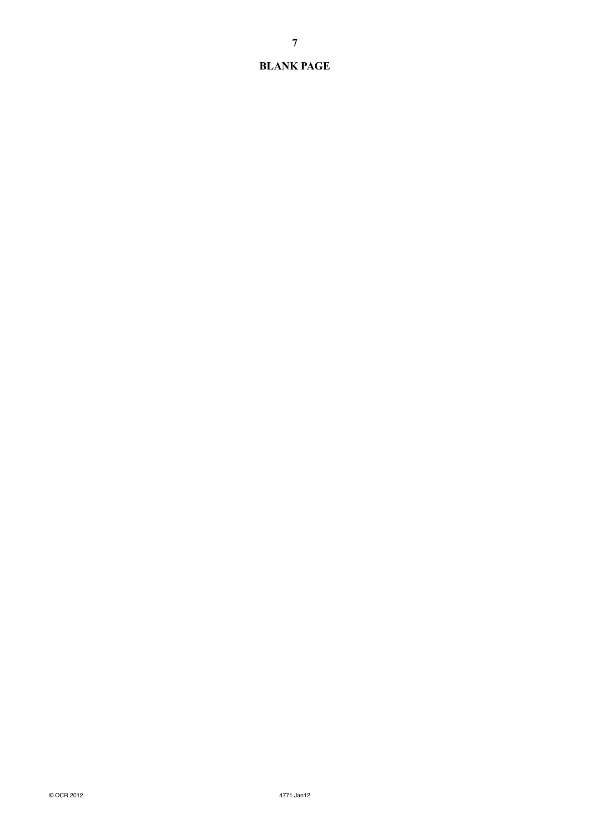#### **BLANK PAGE**